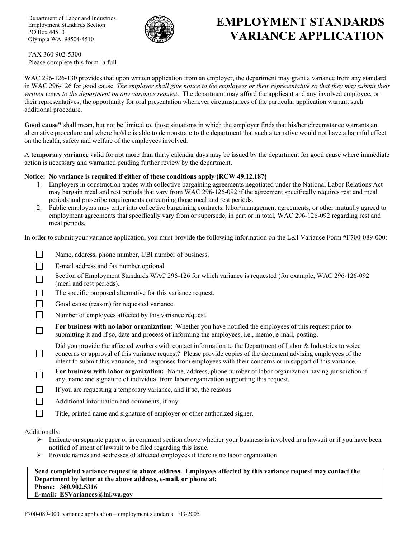Department of Labor and Industries Employment Standards Section PO Box 44510 Olympia WA 98504-4510



## **EMPLOYMENT STANDARDS VARIANCE APPLICATION**

FAX 360 902-5300 Please complete this form in full

WAC 296-126-130 provides that upon written application from an employer, the department may grant a variance from any standard in WAC 296-126 for good cause. *The employer shall give notice to the employees or their representative so that they may submit their written views to the department on any variance request*. The department may afford the applicant and any involved employee, or their representatives, the opportunity for oral presentation whenever circumstances of the particular application warrant such additional procedure.

**Good cause"** shall mean, but not be limited to, those situations in which the employer finds that his/her circumstance warrants an alternative procedure and where he/she is able to demonstrate to the department that such alternative would not have a harmful effect on the health, safety and welfare of the employees involved.

A **temporary variance** valid for not more than thirty calendar days may be issued by the department for good cause where immediate action is necessary and warranted pending further review by the department.

## **Notice: No variance is required if either of these conditions apply {RCW 49.12.187}**

- 1. Employers in construction trades with collective bargaining agreements negotiated under the National Labor Relations Act may bargain meal and rest periods that vary from WAC 296-126-092 if the agreement specifically requires rest and meal periods and prescribe requirements concerning those meal and rest periods.
- 2. Public employers may enter into collective bargaining contracts, labor/management agreements, or other mutually agreed to employment agreements that specifically vary from or supersede, in part or in total, WAC 296-126-092 regarding rest and meal periods.

In order to submit your variance application, you must provide the following information on the L&I Variance Form #F700-089-000:

| Name, address, phone number, UBI number of business.                                                                                                                                                                                                                                                                                                 |
|------------------------------------------------------------------------------------------------------------------------------------------------------------------------------------------------------------------------------------------------------------------------------------------------------------------------------------------------------|
| E-mail address and fax number optional.                                                                                                                                                                                                                                                                                                              |
| Section of Employment Standards WAC 296-126 for which variance is requested (for example, WAC 296-126-092)<br>(meal and rest periods).                                                                                                                                                                                                               |
| The specific proposed alternative for this variance request.                                                                                                                                                                                                                                                                                         |
| Good cause (reason) for requested variance.                                                                                                                                                                                                                                                                                                          |
| Number of employees affected by this variance request.                                                                                                                                                                                                                                                                                               |
| For business with no labor organization: Whether you have notified the employees of this request prior to<br>submitting it and if so, date and process of informing the employees, i.e., memo, e-mail, posting.                                                                                                                                      |
| Did you provide the affected workers with contact information to the Department of Labor & Industries to voice<br>concerns or approval of this variance request? Please provide copies of the document advising employees of the<br>intent to submit this variance, and responses from employees with their concerns or in support of this variance. |
| For business with labor organization: Name, address, phone number of labor organization having jurisdiction if<br>any, name and signature of individual from labor organization supporting this request.                                                                                                                                             |
| If you are requesting a temporary variance, and if so, the reasons.                                                                                                                                                                                                                                                                                  |
| Additional information and comments, if any.                                                                                                                                                                                                                                                                                                         |
| Title, printed name and signature of employer or other authorized signer.                                                                                                                                                                                                                                                                            |
|                                                                                                                                                                                                                                                                                                                                                      |

Additionally:

- $\triangleright$  Indicate on separate paper or in comment section above whether your business is involved in a lawsuit or if you have been notified of intent of lawsuit to be filed regarding this issue.
- ¾ Provide names and addresses of affected employees if there is no labor organization.

**Send completed variance request to above address. Employees affected by this variance request may contact the Department by letter at the above address, e-mail, or phone at: Phone: 360.902.5316 E-mail: ESVariances@lni.wa.gov**